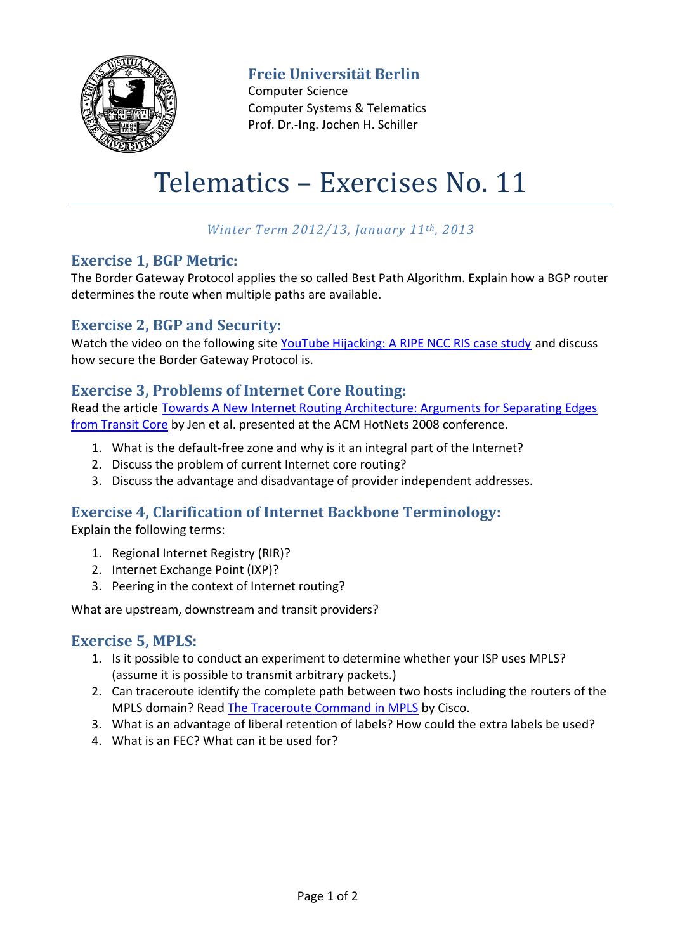

**Freie Universität Berlin**

Computer Science Computer Systems & Telematics Prof. Dr.-Ing. Jochen H. Schiller

# Telematics – Exercises No. 11

# *Winter Term 2012/13, January 11th, 2013*

#### **Exercise 1, BGP Metric:**

The Border Gateway Protocol applies the so called Best Path Algorithm. Explain how a BGP router determines the route when multiple paths are available.

#### **Exercise 2, BGP and Security:**

Watch the video on the following site [YouTube Hijacking: A RIPE NCC RIS case study](http://www.ripe.net/internet-coordination/news/industry-developments/youtube-hijacking-a-ripe-ncc-ris-case-study) and discuss how secure the Border Gateway Protocol is.

### **Exercise 3, Problems of Internet Core Routing:**

Read the article [Towards A New Internet Routing Architecture: Arguments for Separating Edges](http://citeseerx.ist.psu.edu/viewdoc/summary?doi=10.1.1.156.147)  [from Transit Core](http://citeseerx.ist.psu.edu/viewdoc/summary?doi=10.1.1.156.147) by Jen et al. presented at the ACM HotNets 2008 conference.

- 1. What is the default-free zone and why is it an integral part of the Internet?
- 2. Discuss the problem of current Internet core routing?
- 3. Discuss the advantage and disadvantage of provider independent addresses.

# **Exercise 4, Clarification of Internet Backbone Terminology:**

Explain the following terms:

- 1. Regional Internet Registry (RIR)?
- 2. Internet Exchange Point (IXP)?
- 3. Peering in the context of Internet routing?

What are upstream, downstream and transit providers?

#### **Exercise 5, MPLS:**

- 1. Is it possible to conduct an experiment to determine whether your ISP uses MPLS? (assume it is possible to transmit arbitrary packets.)
- 2. Can traceroute identify the complete path between two hosts including the routers of the MPLS domain? Read [The Traceroute Command in MPLS](http://www.cisco.com/image/gif/paws/26585/mpls_traceroute.pdf) by Cisco.
- 3. What is an advantage of liberal retention of labels? How could the extra labels be used?
- 4. What is an FEC? What can it be used for?